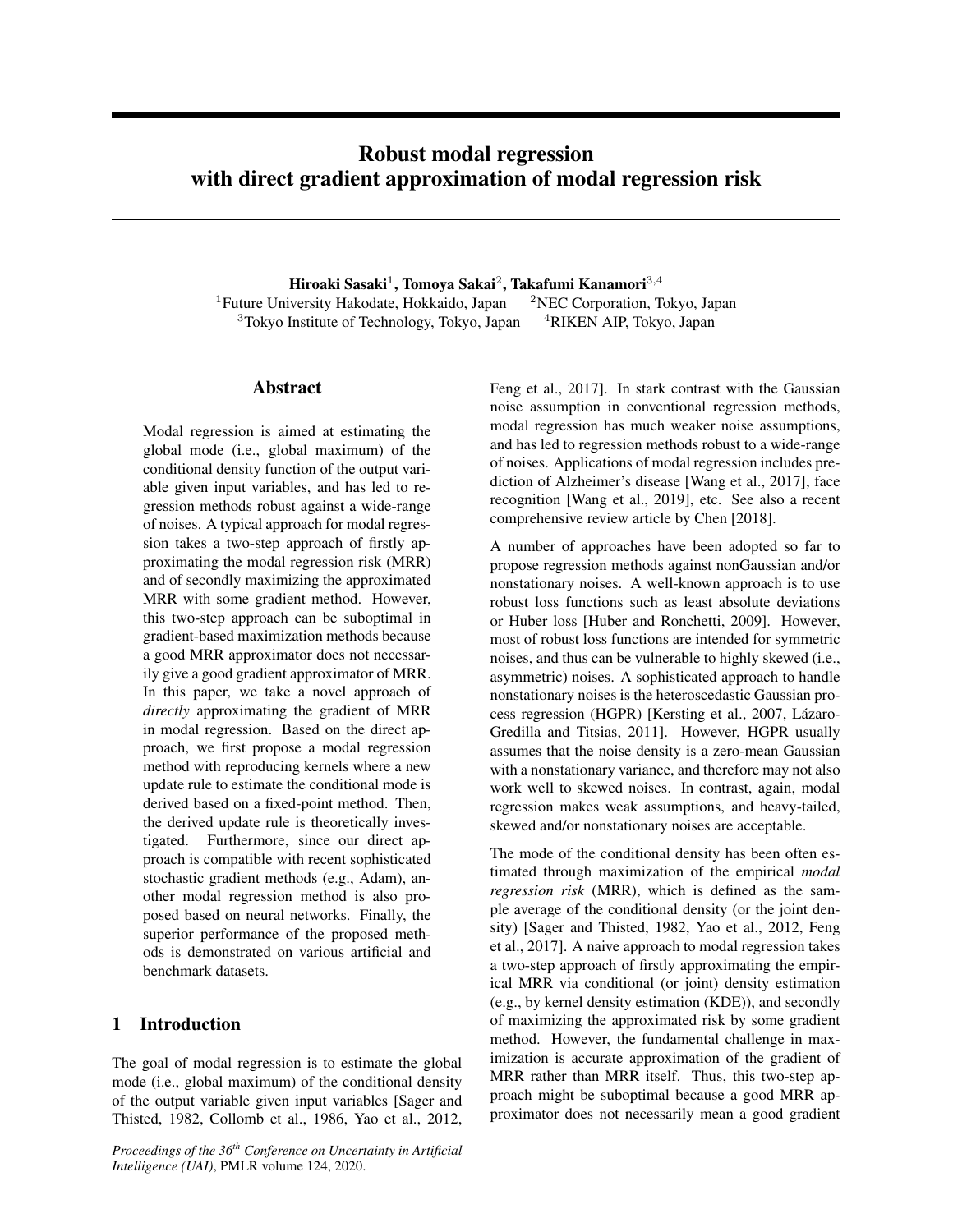# Robust modal regression with direct gradient approximation of modal regression risk

Hiroaki Sasaki $^1$ , Tomoya Sakai $^2$ , Takafumi Kanamori $^{3,4}$ <sup>1</sup>Future University Hakodate, Hokkaido, Japan  $2NEC$  Corporation, Tokyo, Japan  $3$ Tokyo Institute of Technology, Tokyo, Japan  $4$ RIKEN AIP, Tokyo, Japan

## Abstract

Modal regression is aimed at estimating the global mode (i.e., global maximum) of the conditional density function of the output variable given input variables, and has led to regression methods robust against a wide-range of noises. A typical approach for modal regression takes a two-step approach of firstly approximating the modal regression risk (MRR) and of secondly maximizing the approximated MRR with some gradient method. However, this two-step approach can be suboptimal in gradient-based maximization methods because a good MRR approximator does not necessarily give a good gradient approximator of MRR. In this paper, we take a novel approach of *directly* approximating the gradient of MRR in modal regression. Based on the direct approach, we first propose a modal regression method with reproducing kernels where a new update rule to estimate the conditional mode is derived based on a fixed-point method. Then, the derived update rule is theoretically investigated. Furthermore, since our direct approach is compatible with recent sophisticated stochastic gradient methods (e.g., Adam), another modal regression method is also proposed based on neural networks. Finally, the superior performance of the proposed methods is demonstrated on various artificial and benchmark datasets.

## 1 Introduction

The goal of modal regression is to estimate the global mode (i.e., global maximum) of the conditional density of the output variable given input variables [Sager and Thisted, 1982, Collomb et al., 1986, Yao et al., 2012,

*Proceedings of the 36th Conference on Uncertainty in Artificial Intelligence (UAI)*, PMLR volume 124, 2020.

Feng et al., 2017]. In stark contrast with the Gaussian noise assumption in conventional regression methods, modal regression has much weaker noise assumptions, and has led to regression methods robust to a wide-range of noises. Applications of modal regression includes prediction of Alzheimer's disease [Wang et al., 2017], face recognition [Wang et al., 2019], etc. See also a recent comprehensive review article by Chen [2018].

A number of approaches have been adopted so far to propose regression methods against nonGaussian and/or nonstationary noises. A well-known approach is to use robust loss functions such as least absolute deviations or Huber loss [Huber and Ronchetti, 2009]. However, most of robust loss functions are intended for symmetric noises, and thus can be vulnerable to highly skewed (i.e., asymmetric) noises. A sophisticated approach to handle nonstationary noises is the heteroscedastic Gaussian process regression (HGPR) [Kersting et al., 2007, Lázaro-Gredilla and Titsias, 2011]. However, HGPR usually assumes that the noise density is a zero-mean Gaussian with a nonstationary variance, and therefore may not also work well to skewed noises. In contrast, again, modal regression makes weak assumptions, and heavy-tailed, skewed and/or nonstationary noises are acceptable.

The mode of the conditional density has been often estimated through maximization of the empirical *modal regression risk* (MRR), which is defined as the sample average of the conditional density (or the joint density) [Sager and Thisted, 1982, Yao et al., 2012, Feng et al., 2017]. A naive approach to modal regression takes a two-step approach of firstly approximating the empirical MRR via conditional (or joint) density estimation (e.g., by kernel density estimation (KDE)), and secondly of maximizing the approximated risk by some gradient method. However, the fundamental challenge in maximization is accurate approximation of the gradient of MRR rather than MRR itself. Thus, this two-step approach might be suboptimal because a good MRR approximator does not necessarily mean a good gradient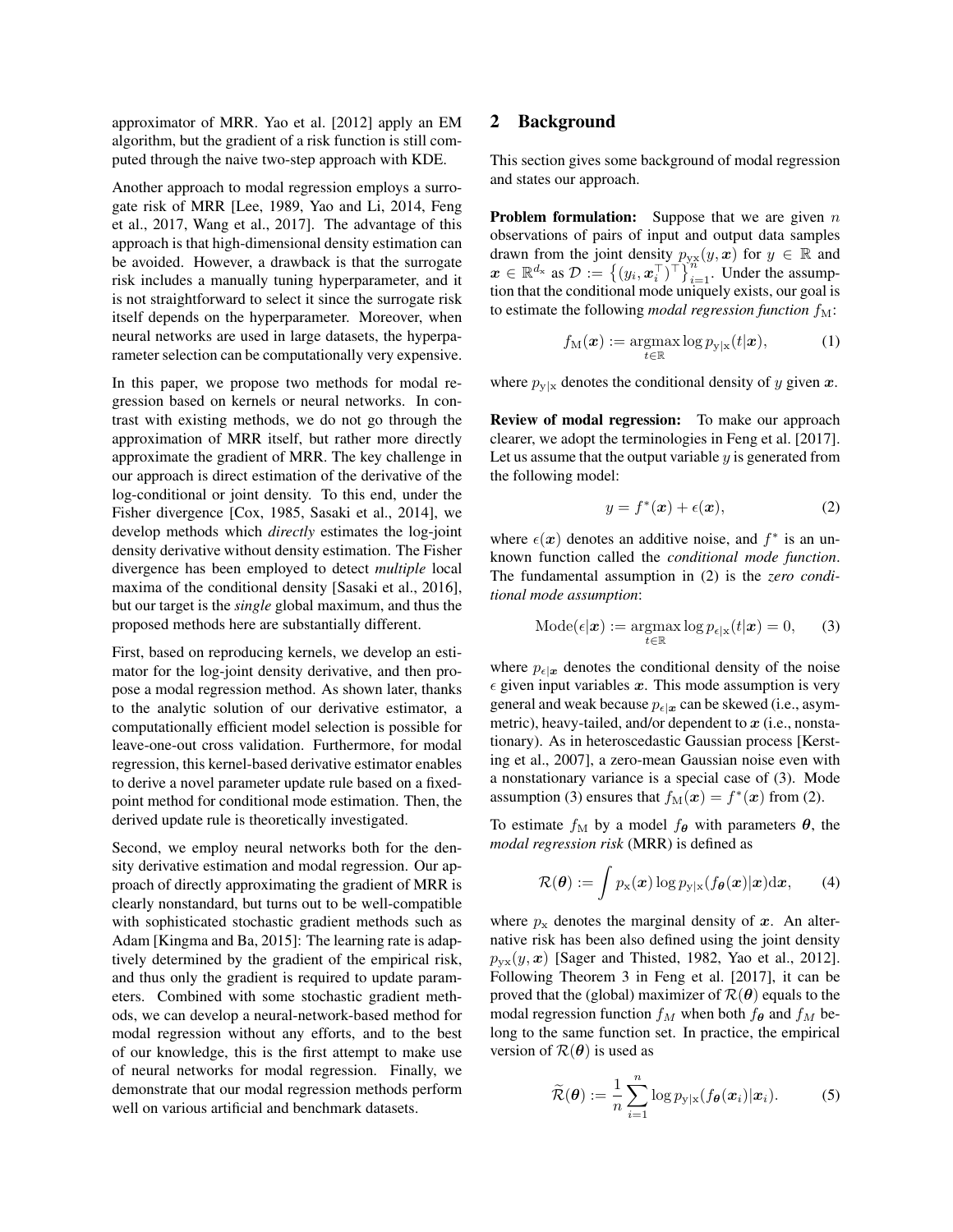approximator of MRR. Yao et al. [2012] apply an EM algorithm, but the gradient of a risk function is still computed through the naive two-step approach with KDE.

Another approach to modal regression employs a surrogate risk of MRR [Lee, 1989, Yao and Li, 2014, Feng et al., 2017, Wang et al., 2017]. The advantage of this approach is that high-dimensional density estimation can be avoided. However, a drawback is that the surrogate risk includes a manually tuning hyperparameter, and it is not straightforward to select it since the surrogate risk itself depends on the hyperparameter. Moreover, when neural networks are used in large datasets, the hyperparameter selection can be computationally very expensive.

In this paper, we propose two methods for modal regression based on kernels or neural networks. In contrast with existing methods, we do not go through the approximation of MRR itself, but rather more directly approximate the gradient of MRR. The key challenge in our approach is direct estimation of the derivative of the log-conditional or joint density. To this end, under the Fisher divergence [Cox, 1985, Sasaki et al., 2014], we develop methods which *directly* estimates the log-joint density derivative without density estimation. The Fisher divergence has been employed to detect *multiple* local maxima of the conditional density [Sasaki et al., 2016], but our target is the *single* global maximum, and thus the proposed methods here are substantially different.

First, based on reproducing kernels, we develop an estimator for the log-joint density derivative, and then propose a modal regression method. As shown later, thanks to the analytic solution of our derivative estimator, a computationally efficient model selection is possible for leave-one-out cross validation. Furthermore, for modal regression, this kernel-based derivative estimator enables to derive a novel parameter update rule based on a fixedpoint method for conditional mode estimation. Then, the derived update rule is theoretically investigated.

Second, we employ neural networks both for the density derivative estimation and modal regression. Our approach of directly approximating the gradient of MRR is clearly nonstandard, but turns out to be well-compatible with sophisticated stochastic gradient methods such as Adam [Kingma and Ba, 2015]: The learning rate is adaptively determined by the gradient of the empirical risk, and thus only the gradient is required to update parameters. Combined with some stochastic gradient methods, we can develop a neural-network-based method for modal regression without any efforts, and to the best of our knowledge, this is the first attempt to make use of neural networks for modal regression. Finally, we demonstrate that our modal regression methods perform well on various artificial and benchmark datasets.

## 2 Background

This section gives some background of modal regression and states our approach.

**Problem formulation:** Suppose that we are given  $n$ observations of pairs of input and output data samples drawn from the joint density  $p_{yx}(y, x)$  for  $y \in \mathbb{R}$  and  $\boldsymbol{x} \in \mathbb{R}^{d_{\mathbf{x}}}$  as  $\mathcal{D} := \left\{ (y_i, \boldsymbol{x}_i^{\top})^{\top} \right\}_{i=1}^{d_{\mathbf{x}}}$ . Under the assumption that the conditional mode uniquely exists, our goal is to estimate the following *modal regression function*  $f_M$ :

$$
f_{\mathcal{M}}(\boldsymbol{x}) := \operatorname*{argmax}_{t \in \mathbb{R}} \log p_{\mathcal{Y}|\mathbf{x}}(t|\boldsymbol{x}), \tag{1}
$$

where  $p_{y|x}$  denotes the conditional density of y given x.

Review of modal regression: To make our approach clearer, we adopt the terminologies in Feng et al. [2017]. Let us assume that the output variable  $y$  is generated from the following model:

$$
y = f^*(x) + \epsilon(x), \tag{2}
$$

where  $\epsilon(x)$  denotes an additive noise, and  $f^*$  is an unknown function called the *conditional mode function*. The fundamental assumption in (2) is the *zero conditional mode assumption*:

$$
Mode(\epsilon | \boldsymbol{x}) := \operatorname*{argmax}_{t \in \mathbb{R}} log p_{\epsilon | \mathbf{x}}(t | \boldsymbol{x}) = 0,
$$
 (3)

where  $p_{\epsilon|x}$  denotes the conditional density of the noise  $\epsilon$  given input variables x. This mode assumption is very general and weak because  $p_{\epsilon|x}$  can be skewed (i.e., asymmetric), heavy-tailed, and/or dependent to  $x$  (i.e., nonstationary). As in heteroscedastic Gaussian process [Kersting et al., 2007], a zero-mean Gaussian noise even with a nonstationary variance is a special case of (3). Mode assumption (3) ensures that  $f_{\text{M}}(\boldsymbol{x}) = f^*(\boldsymbol{x})$  from (2).

To estimate  $f_M$  by a model  $f_{\theta}$  with parameters  $\theta$ , the *modal regression risk* (MRR) is defined as

$$
\mathcal{R}(\boldsymbol{\theta}) := \int p_{\mathbf{x}}(\boldsymbol{x}) \log p_{\mathbf{y}|\mathbf{x}}(f_{\boldsymbol{\theta}}(\boldsymbol{x})|\boldsymbol{x}) d\boldsymbol{x}, \qquad (4)
$$

where  $p_x$  denotes the marginal density of x. An alternative risk has been also defined using the joint density  $p_{\text{vx}}(y, x)$  [Sager and Thisted, 1982, Yao et al., 2012]. Following Theorem 3 in Feng et al. [2017], it can be proved that the (global) maximizer of  $\mathcal{R}(\theta)$  equals to the modal regression function  $f_M$  when both  $f_{\theta}$  and  $f_M$  belong to the same function set. In practice, the empirical version of  $\mathcal{R}(\theta)$  is used as

$$
\widetilde{\mathcal{R}}(\boldsymbol{\theta}) := \frac{1}{n} \sum_{i=1}^{n} \log p_{\mathbf{y}|\mathbf{x}}(f_{\boldsymbol{\theta}}(\boldsymbol{x}_i)|\boldsymbol{x}_i).
$$
 (5)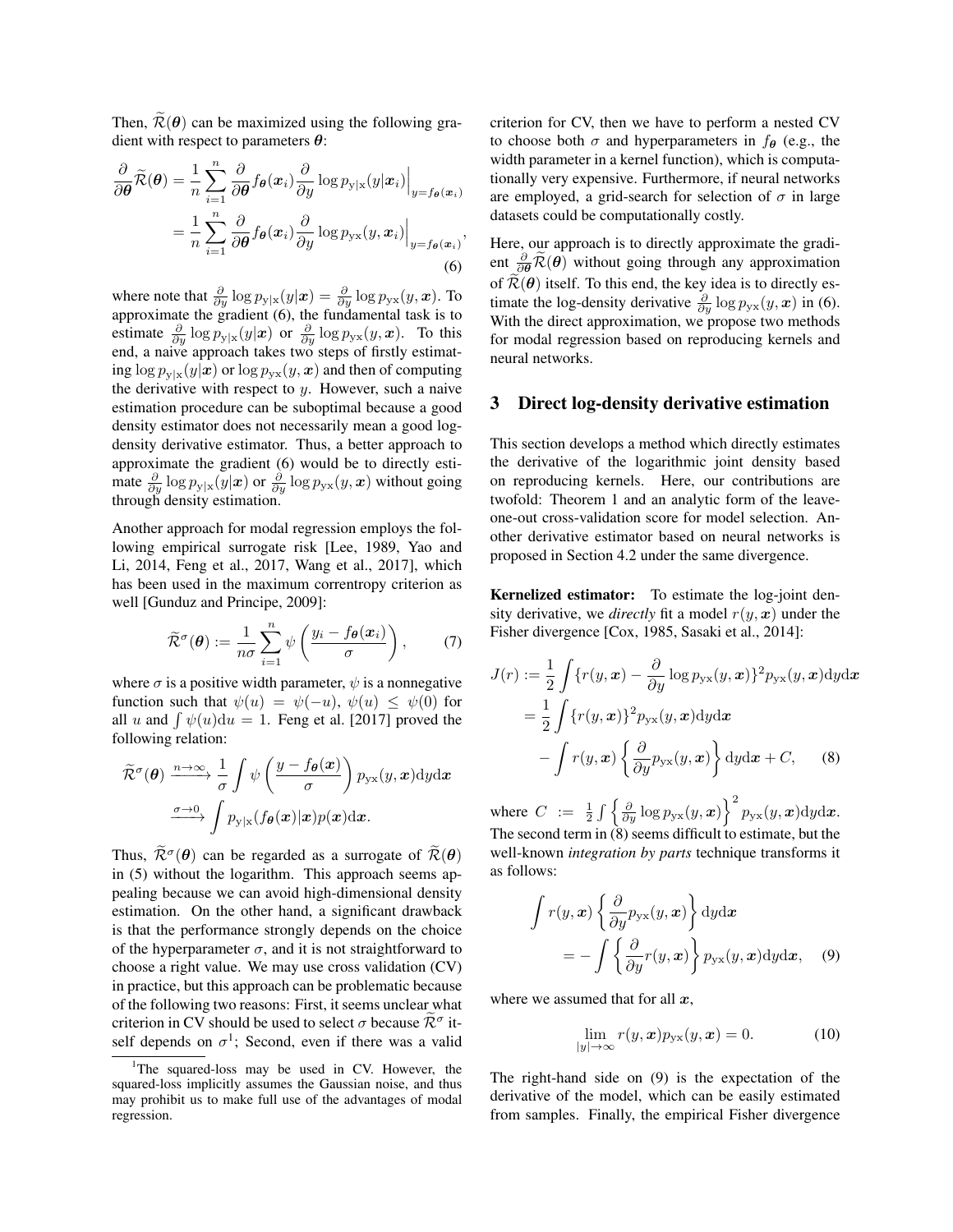Then,  $\widetilde{\mathcal{R}}(\theta)$  can be maximized using the following gradient with respect to parameters  $\theta$ :

$$
\frac{\partial}{\partial \theta} \widetilde{\mathcal{R}}(\theta) = \frac{1}{n} \sum_{i=1}^{n} \frac{\partial}{\partial \theta} f_{\theta}(x_i) \frac{\partial}{\partial y} \log p_{y|x}(y|x_i) \Big|_{y=f_{\theta}(x_i)}
$$

$$
= \frac{1}{n} \sum_{i=1}^{n} \frac{\partial}{\partial \theta} f_{\theta}(x_i) \frac{\partial}{\partial y} \log p_{y|x}(y, x_i) \Big|_{y=f_{\theta}(x_i)},
$$
(6)

where note that  $\frac{\partial}{\partial y} \log p_{y|x}(y|\bm{x}) = \frac{\partial}{\partial y} \log p_{yx}(y,\bm{x})$ . To approximate the gradient (6), the fundamental task is to estimate  $\frac{\partial}{\partial y} \log p_{y|x}(y|x)$  or  $\frac{\partial}{\partial y} \log p_{yx}(y,x)$ . To this end, a naive approach takes two steps of firstly estimating  $\log p_{y|x}(y|x)$  or  $\log p_{yx}(y,x)$  and then of computing the derivative with respect to  $y$ . However, such a naive estimation procedure can be suboptimal because a good density estimator does not necessarily mean a good logdensity derivative estimator. Thus, a better approach to approximate the gradient (6) would be to directly estimate  $\frac{\partial}{\partial y} \log p_{y|x}(y|x)$  or  $\frac{\partial}{\partial y} \log p_{yx}(y,x)$  without going through density estimation.

Another approach for modal regression employs the following empirical surrogate risk [Lee, 1989, Yao and Li, 2014, Feng et al., 2017, Wang et al., 2017], which has been used in the maximum correntropy criterion as well [Gunduz and Principe, 2009]:

$$
\widetilde{\mathcal{R}}^{\sigma}(\boldsymbol{\theta}) := \frac{1}{n\sigma} \sum_{i=1}^{n} \psi\left(\frac{y_i - f_{\boldsymbol{\theta}}(\boldsymbol{x}_i)}{\sigma}\right), \qquad (7)
$$

where  $\sigma$  is a positive width parameter,  $\psi$  is a nonnegative function such that  $\psi(u) = \psi(-u)$ ,  $\psi(u) \leq \psi(0)$  for all u and  $\int \psi(u) du = 1$ . Feng et al. [2017] proved the following relation:

$$
\widetilde{\mathcal{R}}^{\sigma}(\boldsymbol{\theta}) \xrightarrow{n \to \infty} \frac{1}{\sigma} \int \psi \left( \frac{y - f_{\boldsymbol{\theta}}(\boldsymbol{x})}{\sigma} \right) p_{\mathbf{y} \mathbf{x}}(y, \boldsymbol{x}) \mathrm{d}y \mathrm{d}\boldsymbol{x} \n\frac{\sigma \to 0}{\sigma} \int p_{\mathbf{y} | \mathbf{x}} (f_{\boldsymbol{\theta}}(\boldsymbol{x}) | \boldsymbol{x}) p(\boldsymbol{x}) \mathrm{d}\boldsymbol{x}.
$$

Thus,  $\tilde{\mathcal{R}}^{\sigma}(\theta)$  can be regarded as a surrogate of  $\tilde{\mathcal{R}}(\theta)$ in (5) without the logarithm. This approach seems appealing because we can avoid high-dimensional density estimation. On the other hand, a significant drawback is that the performance strongly depends on the choice of the hyperparameter  $\sigma$ , and it is not straightforward to choose a right value. We may use cross validation (CV) in practice, but this approach can be problematic because of the following two reasons: First, it seems unclear what criterion in CV should be used to select  $\sigma$  because  $\tilde{\mathcal{R}}^{\sigma}$  itself depends on  $\sigma^1$ ; Second, even if there was a valid

criterion for CV, then we have to perform a nested CV to choose both  $\sigma$  and hyperparameters in  $f_{\theta}$  (e.g., the width parameter in a kernel function), which is computationally very expensive. Furthermore, if neural networks are employed, a grid-search for selection of  $\sigma$  in large datasets could be computationally costly.

Here, our approach is to directly approximate the gradient  $\frac{\partial}{\partial \theta} \widetilde{\mathcal{R}}(\theta)$  without going through any approximation of  $\mathcal{R}(\theta)$  itself. To this end, the key idea is to directly estimate the log-density derivative  $\frac{\partial}{\partial y} \log p_{yx}(y, x)$  in (6). With the direct approximation, we propose two methods for modal regression based on reproducing kernels and neural networks.

## 3 Direct log-density derivative estimation

This section develops a method which directly estimates the derivative of the logarithmic joint density based on reproducing kernels. Here, our contributions are twofold: Theorem 1 and an analytic form of the leaveone-out cross-validation score for model selection. Another derivative estimator based on neural networks is proposed in Section 4.2 under the same divergence.

Kernelized estimator: To estimate the log-joint density derivative, we *directly* fit a model  $r(y, x)$  under the Fisher divergence [Cox, 1985, Sasaki et al., 2014]:

$$
J(r) := \frac{1}{2} \int \{r(y, \mathbf{x}) - \frac{\partial}{\partial y} \log p_{yx}(y, \mathbf{x})\}^2 p_{yx}(y, \mathbf{x}) \,dy \,dx
$$
  
= 
$$
\frac{1}{2} \int \{r(y, \mathbf{x})\}^2 p_{yx}(y, \mathbf{x}) \,dy \,dx
$$
  
- 
$$
\int r(y, \mathbf{x}) \left\{\frac{\partial}{\partial y} p_{yx}(y, \mathbf{x})\right\} \,dy \,dx + C, \quad (8)
$$

where  $C := \frac{1}{2} \int \left\{ \frac{\partial}{\partial y} \log p_{yx}(y, x) \right\}^2 p_{yx}(y, x) dy dx.$ The second term in  $(8)$  seems difficult to estimate, but the well-known *integration by parts* technique transforms it as follows:

$$
\int r(y, x) \left\{ \frac{\partial}{\partial y} p_{yx}(y, x) \right\} dy dx
$$
  
= 
$$
- \int \left\{ \frac{\partial}{\partial y} r(y, x) \right\} p_{yx}(y, x) dy dx, \quad (9)
$$

where we assumed that for all  $x$ ,

$$
\lim_{|y| \to \infty} r(y, \boldsymbol{x}) p_{\text{yx}}(y, \boldsymbol{x}) = 0.
$$
 (10)

The right-hand side on (9) is the expectation of the derivative of the model, which can be easily estimated from samples. Finally, the empirical Fisher divergence

<sup>&</sup>lt;sup>1</sup>The squared-loss may be used in CV. However, the squared-loss implicitly assumes the Gaussian noise, and thus may prohibit us to make full use of the advantages of modal regression.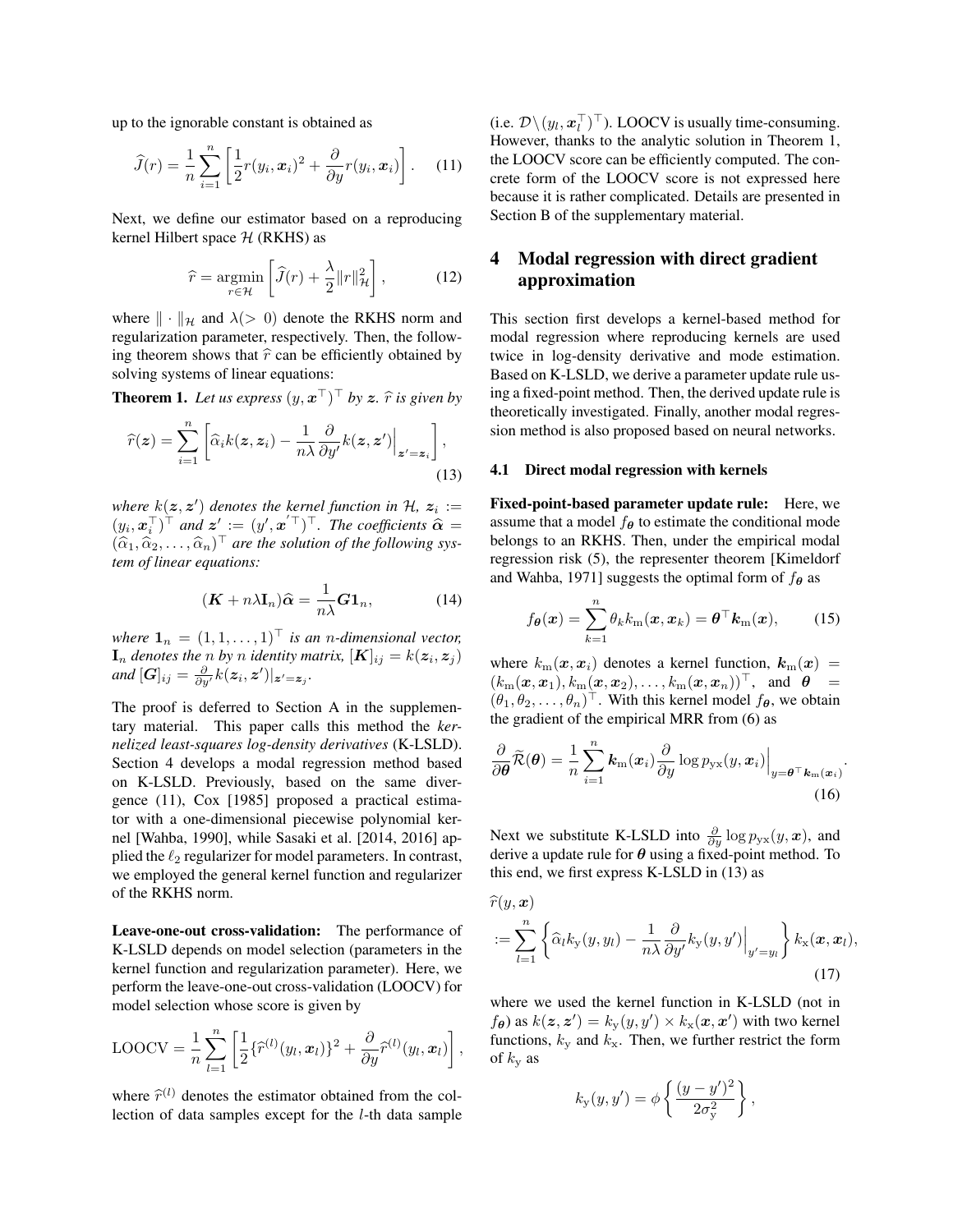up to the ignorable constant is obtained as

$$
\widehat{J}(r) = \frac{1}{n} \sum_{i=1}^{n} \left[ \frac{1}{2} r(y_i, \boldsymbol{x}_i)^2 + \frac{\partial}{\partial y} r(y_i, \boldsymbol{x}_i) \right].
$$
 (11)

Next, we define our estimator based on a reproducing kernel Hilbert space  $H$  (RKHS) as

$$
\widehat{r} = \underset{r \in \mathcal{H}}{\operatorname{argmin}} \left[ \widehat{J}(r) + \frac{\lambda}{2} ||r||_{\mathcal{H}}^2 \right],\tag{12}
$$

where  $\|\cdot\|_{\mathcal{H}}$  and  $\lambda(> 0)$  denote the RKHS norm and regularization parameter, respectively. Then, the following theorem shows that  $\hat{r}$  can be efficiently obtained by solving systems of linear equations:

**Theorem 1.** Let us express  $(y, \boldsymbol{x}^{\top})^{\top}$  by  $\boldsymbol{z}$ .  $\widehat{r}$  is given by

$$
\widehat{r}(\boldsymbol{z}) = \sum_{i=1}^{n} \left[ \widehat{\alpha}_{i} k(\boldsymbol{z}, \boldsymbol{z}_{i}) - \frac{1}{n \lambda} \frac{\partial}{\partial y'} k(\boldsymbol{z}, \boldsymbol{z}') \Big|_{\boldsymbol{z}' = \boldsymbol{z}_{i}} \right],
$$
\n(13)

where  $k(\mathbf{z}, \mathbf{z}')$  denotes the kernel function in  $\mathcal{H}$ ,  $\mathbf{z}_i :=$  $(y_i, \boldsymbol{x}_i^{\top})^{\top}$  and  $\boldsymbol{z}' := (y', \boldsymbol{x}'^{\top})^{\top}$ . The coefficients  $\hat{\boldsymbol{\alpha}} = (\hat{\boldsymbol{\alpha}}, \hat{\boldsymbol{\alpha}})^{\top}$  are the solution of the following are  $(\widehat{\alpha}_1, \widehat{\alpha}_2, \ldots, \widehat{\alpha}_n)^\top$  are the solution of the following sys-<br>tem of linear equations: *tem of linear equations:*

$$
(\mathbf{K} + n\lambda \mathbf{I}_n)\widehat{\alpha} = \frac{1}{n\lambda} \mathbf{G} \mathbf{1}_n, \tag{14}
$$

*where*  $\mathbf{1}_n = (1, 1, \dots, 1)^\top$  *is an n-dimensional vector,*  $\mathbf{I}_n$  denotes the  $n$  by  $n$  identity matrix,  $[\boldsymbol{K}]_{ij} = k(\boldsymbol{z}_i, \boldsymbol{z}_j)$ and  $[G]_{ij} = \frac{\partial}{\partial y'} k(\boldsymbol{z}_i, \boldsymbol{z}')|_{\boldsymbol{z}'=\boldsymbol{z}_j}$ .

The proof is deferred to Section A in the supplementary material. This paper calls this method the *kernelized least-squares log-density derivatives* (K-LSLD). Section 4 develops a modal regression method based on K-LSLD. Previously, based on the same divergence (11), Cox [1985] proposed a practical estimator with a one-dimensional piecewise polynomial kernel [Wahba, 1990], while Sasaki et al. [2014, 2016] applied the  $\ell_2$  regularizer for model parameters. In contrast, we employed the general kernel function and regularizer of the RKHS norm.

Leave-one-out cross-validation: The performance of K-LSLD depends on model selection (parameters in the kernel function and regularization parameter). Here, we perform the leave-one-out cross-validation (LOOCV) for model selection whose score is given by

$$
LOOCV = \frac{1}{n}\sum_{l=1}^n \left[\frac{1}{2}\{\widehat{r}^{(l)}(y_l,\boldsymbol{x}_l)\}^2 + \frac{\partial}{\partial y}\widehat{r}^{(l)}(y_l,\boldsymbol{x}_l)\right],
$$

where  $\hat{r}^{(l)}$  denotes the estimator obtained from the col-<br>lection of data samples except for the *l* th data sample lection of data samples except for the l-th data sample

(i.e.  $\mathcal{D} \setminus (y_l, \boldsymbol{x}_l^{\top})^{\top}$ ). LOOCV is usually time-consuming. However, thanks to the analytic solution in Theorem 1, the LOOCV score can be efficiently computed. The concrete form of the LOOCV score is not expressed here because it is rather complicated. Details are presented in Section B of the supplementary material.

# 4 Modal regression with direct gradient approximation

This section first develops a kernel-based method for modal regression where reproducing kernels are used twice in log-density derivative and mode estimation. Based on K-LSLD, we derive a parameter update rule using a fixed-point method. Then, the derived update rule is theoretically investigated. Finally, another modal regression method is also proposed based on neural networks.

#### 4.1 Direct modal regression with kernels

Fixed-point-based parameter update rule: Here, we assume that a model  $f_{\theta}$  to estimate the conditional mode belongs to an RKHS. Then, under the empirical modal regression risk (5), the representer theorem [Kimeldorf and Wahba, 1971] suggests the optimal form of  $f_{\theta}$  as

$$
f_{\theta}(\boldsymbol{x}) = \sum_{k=1}^{n} \theta_k k_{\rm m}(\boldsymbol{x}, \boldsymbol{x}_k) = \boldsymbol{\theta}^{\top} \boldsymbol{k}_{\rm m}(\boldsymbol{x}), \qquad (15)
$$

where  $k_m(x, x_i)$  denotes a kernel function,  $k_m(x)$  =  $(k_m(\boldsymbol{x}, \boldsymbol{x}_1), k_m(\boldsymbol{x}, \boldsymbol{x}_2), \dots, k_m(\boldsymbol{x}, \boldsymbol{x}_n))^{\top}$ , and  $\boldsymbol{\theta} =$  $(\theta_1, \theta_2, \dots, \theta_n)^\top$ . With this kernel model  $f_{\theta}$ , we obtain the gradient of the empirical MRR from (6) as

$$
\frac{\partial}{\partial \boldsymbol{\theta}} \widetilde{\mathcal{R}}(\boldsymbol{\theta}) = \frac{1}{n} \sum_{i=1}^{n} \boldsymbol{k}_{\mathrm{m}}(\boldsymbol{x}_{i}) \frac{\partial}{\partial y} \log p_{\mathrm{yx}}(y, \boldsymbol{x}_{i}) \Big|_{y = \boldsymbol{\theta}^{\top} \boldsymbol{k}_{\mathrm{m}}(\boldsymbol{x}_{i})}.
$$
\n(16)

Next we substitute K-LSLD into  $\frac{\partial}{\partial y} \log p_{yx}(y, x)$ , and derive a update rule for  $\theta$  using a fixed-point method. To this end, we first express K-LSLD in (13) as

$$
\widehat{r}(y, \mathbf{x}) = \sum_{l=1}^{n} \left\{ \widehat{\alpha}_{l} k_{\mathbf{y}}(y, y_{l}) - \frac{1}{n \lambda} \frac{\partial}{\partial y^{l}} k_{\mathbf{y}}(y, y') \Big|_{y'=y_{l}} \right\} k_{\mathbf{x}}(\mathbf{x}, \mathbf{x}_{l}),
$$
\n(17)

where we used the kernel function in K-LSLD (not in  $f_{\theta}$ ) as  $k(z, z') = k_{y}(y, y') \times k_{x}(x, x')$  with two kernel functions,  $k_y$  and  $k_x$ . Then, we further restrict the form of  $k_v$  as

$$
k_{\mathbf{y}}(y, y') = \phi \left\{ \frac{(y - y')^{2}}{2\sigma_{\mathbf{y}}^{2}} \right\},\,
$$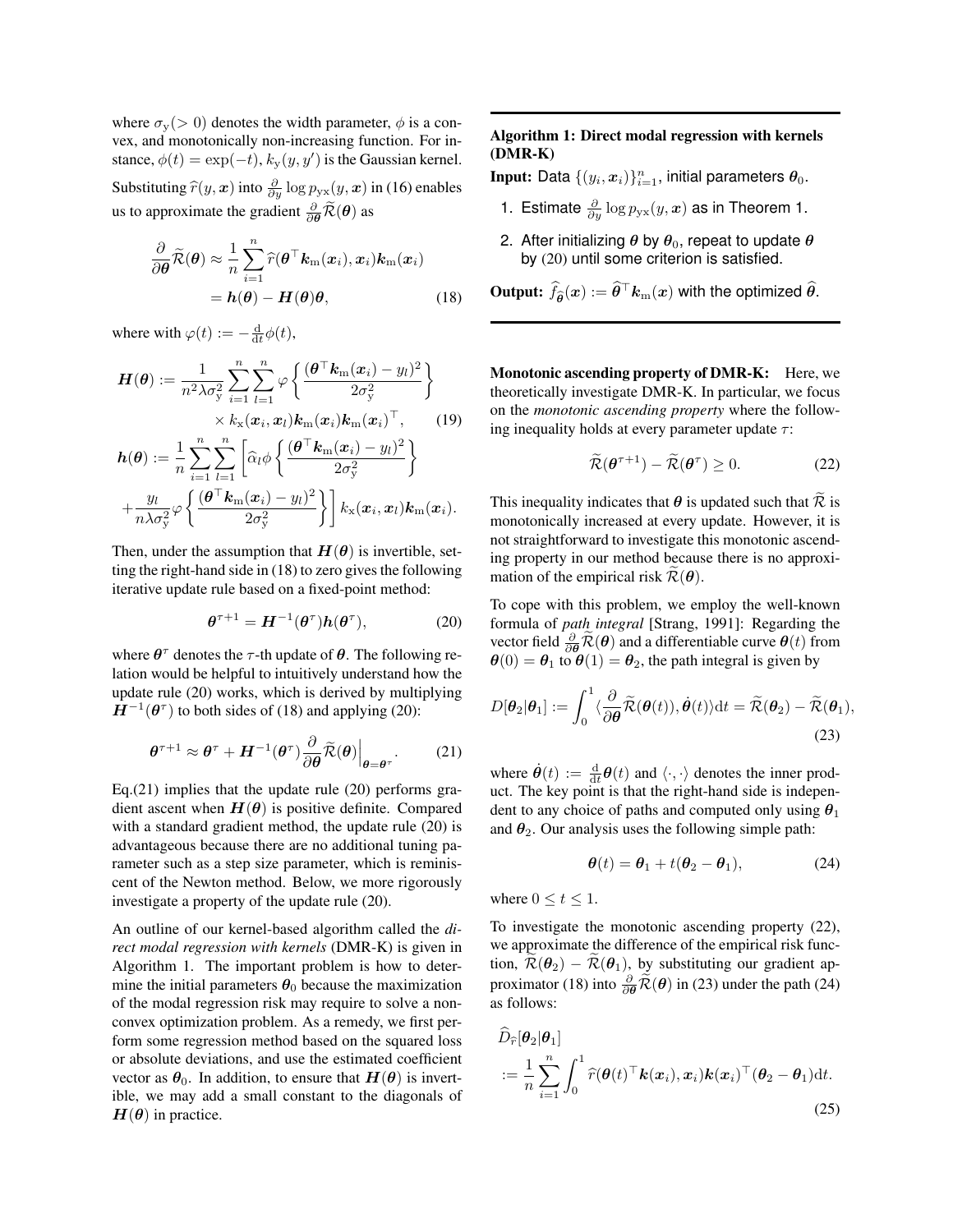where  $\sigma_{\rm v}(>0)$  denotes the width parameter,  $\phi$  is a convex, and monotonically non-increasing function. For instance,  $\phi(t) = \exp(-t)$ ,  $k_y(y, y')$  is the Gaussian kernel. Substituting  $\hat{r}(y, x)$  into  $\frac{\partial}{\partial y} \log p_{yx}(y, x)$  in (16) enables us to approximate the gradient  $\frac{\partial}{\partial \theta} \widetilde{\mathcal{R}}(\theta)$  as

$$
\frac{\partial}{\partial \boldsymbol{\theta}} \widetilde{\mathcal{R}}(\boldsymbol{\theta}) \approx \frac{1}{n} \sum_{i=1}^{n} \widehat{r}(\boldsymbol{\theta}^{\top} \boldsymbol{k}_{m}(\boldsymbol{x}_{i}), \boldsymbol{x}_{i}) \boldsymbol{k}_{m}(\boldsymbol{x}_{i})
$$

$$
= \boldsymbol{h}(\boldsymbol{\theta}) - \boldsymbol{H}(\boldsymbol{\theta}) \boldsymbol{\theta}, \qquad (18)
$$

where with  $\varphi(t) := -\frac{d}{dt}\phi(t)$ ,

$$
\boldsymbol{H}(\boldsymbol{\theta}) := \frac{1}{n^2 \lambda \sigma_y^2} \sum_{i=1}^n \sum_{l=1}^n \varphi \left\{ \frac{(\boldsymbol{\theta}^\top \boldsymbol{k}_m(\boldsymbol{x}_i) - y_l)^2}{2\sigma_y^2} \right\}
$$

$$
\times k_x(\boldsymbol{x}_i, \boldsymbol{x}_l) \boldsymbol{k}_m(\boldsymbol{x}_i) \boldsymbol{k}_m(\boldsymbol{x}_i)^\top, \qquad (19)
$$

$$
h(\theta) := \frac{1}{n} \sum_{i=1}^n \sum_{l=1}^n \left[ \widehat{\alpha}_l \phi \left\{ \frac{(\boldsymbol{\theta}^\top \boldsymbol{k}_m(\boldsymbol{x}_i) - y_l)^2}{2\sigma_y^2} \right\} + \frac{y_l}{n \lambda \sigma_y^2} \phi \left\{ \frac{(\boldsymbol{\theta}^\top \boldsymbol{k}_m(\boldsymbol{x}_i) - y_l)^2}{2\sigma_y^2} \right\} \right] k_x(\boldsymbol{x}_i, \boldsymbol{x}_l) k_m(\boldsymbol{x}_i).
$$

Then, under the assumption that  $H(\theta)$  is invertible, setting the right-hand side in (18) to zero gives the following iterative update rule based on a fixed-point method:

$$
\boldsymbol{\theta}^{\tau+1} = \boldsymbol{H}^{-1}(\boldsymbol{\theta}^{\tau})\boldsymbol{h}(\boldsymbol{\theta}^{\tau}), \tag{20}
$$

where  $\theta^{\tau}$  denotes the  $\tau$ -th update of  $\theta$ . The following relation would be helpful to intuitively understand how the update rule (20) works, which is derived by multiplying  $H^{-1}(\theta^{\tau})$  to both sides of (18) and applying (20):

$$
\boldsymbol{\theta}^{\tau+1} \approx \boldsymbol{\theta}^{\tau} + \boldsymbol{H}^{-1}(\boldsymbol{\theta}^{\tau}) \frac{\partial}{\partial \boldsymbol{\theta}} \widetilde{\mathcal{R}}(\boldsymbol{\theta}) \Big|_{\boldsymbol{\theta} = \boldsymbol{\theta}^{\tau}}.
$$
 (21)

Eq.(21) implies that the update rule  $(20)$  performs gradient ascent when  $H(\theta)$  is positive definite. Compared with a standard gradient method, the update rule (20) is advantageous because there are no additional tuning parameter such as a step size parameter, which is reminiscent of the Newton method. Below, we more rigorously investigate a property of the update rule (20).

An outline of our kernel-based algorithm called the *direct modal regression with kernels* (DMR-K) is given in Algorithm 1. The important problem is how to determine the initial parameters  $\theta_0$  because the maximization of the modal regression risk may require to solve a nonconvex optimization problem. As a remedy, we first perform some regression method based on the squared loss or absolute deviations, and use the estimated coefficient vector as  $\theta_0$ . In addition, to ensure that  $H(\theta)$  is invertible, we may add a small constant to the diagonals of  $H(\theta)$  in practice.

## Algorithm 1: Direct modal regression with kernels (DMR-K)

Input: Data  $\{(y_i, \bm{x}_i)\}_{i=1}^n$ , initial parameters  $\bm{\theta}_0.$ 

- 1. Estimate  $\frac{\partial}{\partial y} \log p_{yx}(y, x)$  as in Theorem 1.
- 2. After initializing  $\theta$  by  $\theta_0$ , repeat to update  $\theta$ by (20) until some criterion is satisfied.

**Output:**  $\widehat{f}_{\widehat{\boldsymbol{\theta}}}(x) := \widehat{\boldsymbol{\theta}}^\top \boldsymbol{k}_\text{m}(x)$  with the optimized  $\widehat{\boldsymbol{\theta}}$ .

Monotonic ascending property of DMR-K: Here, we theoretically investigate DMR-K. In particular, we focus on the *monotonic ascending property* where the following inequality holds at every parameter update  $\tau$ :

$$
\widetilde{\mathcal{R}}(\boldsymbol{\theta}^{\tau+1}) - \widetilde{\mathcal{R}}(\boldsymbol{\theta}^{\tau}) \ge 0.
$$
 (22)

This inequality indicates that  $\theta$  is updated such that  $\mathcal R$  is monotonically increased at every update. However, it is not straightforward to investigate this monotonic ascending property in our method because there is no approximation of the empirical risk  $\mathcal{R}(\theta)$ .

To cope with this problem, we employ the well-known formula of *path integral* [Strang, 1991]: Regarding the vector field  $\frac{\partial}{\partial \theta} \widetilde{\mathcal{R}}(\theta)$  and a differentiable curve  $\theta(t)$  from  $\theta(0) = \theta_1$  to  $\theta(1) = \theta_2$ , the path integral is given by

$$
D[\boldsymbol{\theta}_2|\boldsymbol{\theta}_1] := \int_0^1 \langle \frac{\partial}{\partial \boldsymbol{\theta}} \widetilde{\mathcal{R}}(\boldsymbol{\theta}(t)), \dot{\boldsymbol{\theta}}(t) \rangle dt = \widetilde{\mathcal{R}}(\boldsymbol{\theta}_2) - \widetilde{\mathcal{R}}(\boldsymbol{\theta}_1),
$$
\n(23)

where  $\dot{\theta}(t) := \frac{d}{dt}\theta(t)$  and  $\langle \cdot, \cdot \rangle$  denotes the inner product. The key point is that the right-hand side is independent to any choice of paths and computed only using  $\theta_1$ and  $\theta_2$ . Our analysis uses the following simple path:

$$
\boldsymbol{\theta}(t) = \boldsymbol{\theta}_1 + t(\boldsymbol{\theta}_2 - \boldsymbol{\theta}_1), \tag{24}
$$

where  $0 \le t \le 1$ .

To investigate the monotonic ascending property (22), we approximate the difference of the empirical risk function,  $\widetilde{\mathcal{R}}(\theta_2) - \widetilde{\mathcal{R}}(\theta_1)$ , by substituting our gradient approximator (18) into  $\frac{\partial}{\partial \theta} \widetilde{\mathcal{R}}(\theta)$  in (23) under the path (24) as follows:

$$
\tilde{D}_{\widehat{r}}[\boldsymbol{\theta}_2|\boldsymbol{\theta}_1] \n:= \frac{1}{n} \sum_{i=1}^n \int_0^1 \widehat{r}(\boldsymbol{\theta}(t)^{\top} \boldsymbol{k}(\boldsymbol{x}_i), \boldsymbol{x}_i) \boldsymbol{k}(\boldsymbol{x}_i)^{\top} (\boldsymbol{\theta}_2 - \boldsymbol{\theta}_1) \mathrm{d}t.
$$
\n(25)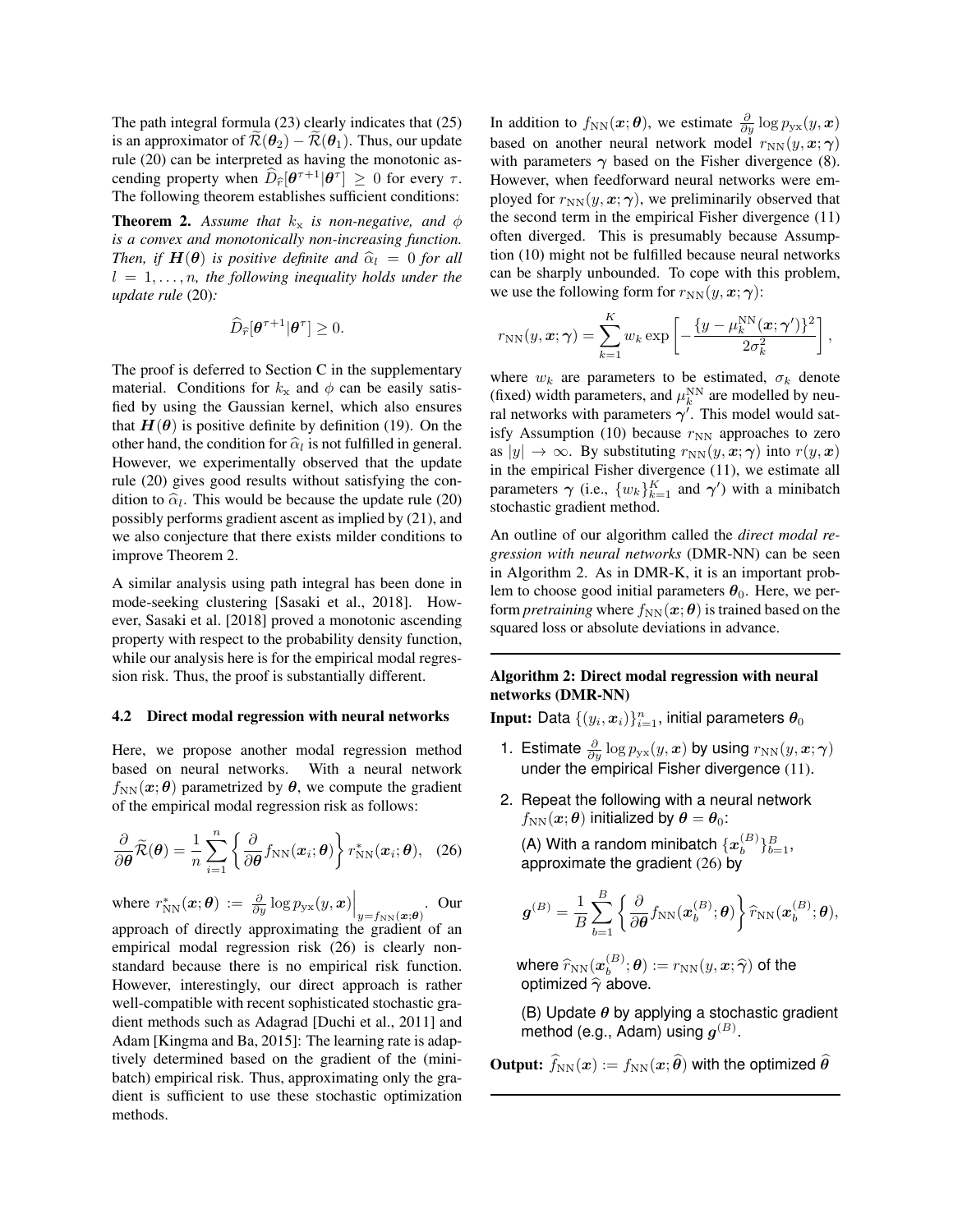The path integral formula (23) clearly indicates that (25) is an approximator of  $\tilde{\mathcal{R}}(\theta_2) - \tilde{\mathcal{R}}(\theta_1)$ . Thus, our update rule (20) can be interpreted as having the monotonic ascending property when  $\hat{D}_{\hat{r}}[\theta^{\tau+1}|\theta^{\tau}] \geq 0$  for every  $\tau$ .<br>The following theorem attaching of significant and integral The following theorem establishes sufficient conditions:

**Theorem 2.** Assume that  $k_x$  is non-negative, and  $\phi$ *is a convex and monotonically non-increasing function. Then, if*  $H(\theta)$  *is positive definite and*  $\hat{\alpha}_l = 0$  *for all*  $l = 1, \ldots, n$ , the following inequality holds under the *update rule* (20)*:*

$$
\widehat{D}_{\widehat{r}}[\boldsymbol{\theta}^{\tau+1}|\boldsymbol{\theta}^{\tau}]\geq 0.
$$

The proof is deferred to Section C in the supplementary material. Conditions for  $k_x$  and  $\phi$  can be easily satisfied by using the Gaussian kernel, which also ensures that  $H(\theta)$  is positive definite by definition (19). On the other hand, the condition for  $\hat{\alpha}_l$  is not fulfilled in general.<br>However, we experimentally observed that the undate However, we experimentally observed that the update rule (20) gives good results without satisfying the condition to  $\hat{\alpha}_l$ . This would be because the update rule (20) possibly performs gradient ascent as implied by (21), and possibly performs gradient ascent as implied by (21), and we also conjecture that there exists milder conditions to improve Theorem 2.

A similar analysis using path integral has been done in mode-seeking clustering [Sasaki et al., 2018]. However, Sasaki et al. [2018] proved a monotonic ascending property with respect to the probability density function, while our analysis here is for the empirical modal regression risk. Thus, the proof is substantially different.

#### 4.2 Direct modal regression with neural networks

Here, we propose another modal regression method based on neural networks. With a neural network  $f_{NN}(x; \theta)$  parametrized by  $\theta$ , we compute the gradient of the empirical modal regression risk as follows:

$$
\frac{\partial}{\partial \boldsymbol{\theta}} \widetilde{\mathcal{R}}(\boldsymbol{\theta}) = \frac{1}{n} \sum_{i=1}^{n} \left\{ \frac{\partial}{\partial \boldsymbol{\theta}} f_{\text{NN}}(\boldsymbol{x}_i; \boldsymbol{\theta}) \right\} r_{\text{NN}}^*(\boldsymbol{x}_i; \boldsymbol{\theta}), \quad (26)
$$

where  $r_{NN}^*(\boldsymbol{x};\boldsymbol{\theta}) := \frac{\partial}{\partial y} \log p_{\text{yx}}(y,\boldsymbol{x}) \Big|_{y = f_{NN}(\boldsymbol{x};\boldsymbol{\theta})}$ . Our approach of directly approximating the gradient of an empirical modal regression risk (26) is clearly nonstandard because there is no empirical risk function. However, interestingly, our direct approach is rather well-compatible with recent sophisticated stochastic gradient methods such as Adagrad [Duchi et al., 2011] and Adam [Kingma and Ba, 2015]: The learning rate is adaptively determined based on the gradient of the (minibatch) empirical risk. Thus, approximating only the gradient is sufficient to use these stochastic optimization methods.

In addition to  $f_{NN}(\boldsymbol{x}; \boldsymbol{\theta})$ , we estimate  $\frac{\partial}{\partial y} \log p_{yx}(y, \boldsymbol{x})$ based on another neural network model  $r_{NN}(y, x; \gamma)$ with parameters  $\gamma$  based on the Fisher divergence (8). However, when feedforward neural networks were employed for  $r_{NN}(y, x; \gamma)$ , we preliminarily observed that the second term in the empirical Fisher divergence (11) often diverged. This is presumably because Assumption (10) might not be fulfilled because neural networks can be sharply unbounded. To cope with this problem, we use the following form for  $r_{NN}(y, x; \gamma)$ :

$$
r_{\rm NN}(y, \boldsymbol{x}; \boldsymbol{\gamma}) = \sum_{k=1}^{K} w_k \exp \left[ -\frac{\{y - \mu_k^{\rm NN}(\boldsymbol{x}; \boldsymbol{\gamma}')\}^2}{2\sigma_k^2} \right],
$$

where  $w_k$  are parameters to be estimated,  $\sigma_k$  denote (fixed) width parameters, and  $\mu_k^{\text{NN}}$  are modelled by neural networks with parameters  $\gamma'$ . This model would satisfy Assumption (10) because  $r_{NN}$  approaches to zero as  $|y| \to \infty$ . By substituting  $r_{NN}(y, x; \gamma)$  into  $r(y, x)$ in the empirical Fisher divergence (11), we estimate all parameters  $\gamma$  (i.e.,  $\{w_k\}_{k=1}^K$  and  $\gamma'$ ) with a minibatch stochastic gradient method.

An outline of our algorithm called the *direct modal regression with neural networks* (DMR-NN) can be seen in Algorithm 2. As in DMR-K, it is an important problem to choose good initial parameters  $\theta_0$ . Here, we perform *pretraining* where  $f_{NN}(x; \theta)$  is trained based on the squared loss or absolute deviations in advance.

## Algorithm 2: Direct modal regression with neural networks (DMR-NN)

Input: Data  $\{(y_i, \bm{x}_i)\}_{i=1}^n$ , initial parameters  $\bm{\theta}_0$ 

- 1. Estimate  $\frac{\partial}{\partial y} \log p_{\text{yx}}(y, x)$  by using  $r_{\text{NN}}(y, x; \gamma)$ under the empirical Fisher divergence (11).
- 2. Repeat the following with a neural network  $f_{NN}(x; \theta)$  initialized by  $\theta = \theta_0$ :

(A) With a random minibatch  $\{x_h^{(B)}\}$  $\{B\}\{B}_{b=1}$ approximate the gradient (26) by

$$
\boldsymbol{g}^{(B)} = \frac{1}{B}\sum_{b=1}^B \left\{\frac{\partial}{\partial \boldsymbol{\theta}} f_\text{NN}(\boldsymbol{x}_b^{(B)}; \boldsymbol{\theta})\right\} \widehat{r}_\text{NN}(\boldsymbol{x}_b^{(B)}; \boldsymbol{\theta}),
$$

where  $\widehat{r}_{\mathrm{NN}}(x_b^{(B)})$  ontimized  $\widehat{\hat{r}}$  ab  $\theta_b^{(B)}; \theta) := r_{\rm NN}(y, x; \widehat{\boldsymbol{\gamma}})$  of the optimized  $\widehat{\gamma}$  above.

(B) Update  $\theta$  by applying a stochastic gradient method (e.g., Adam) using  $g^{(B)}.$ 

**Output:**  $\hat{f}_{NN}(x) := f_{NN}(x; \hat{\theta})$  with the optimized  $\hat{\theta}$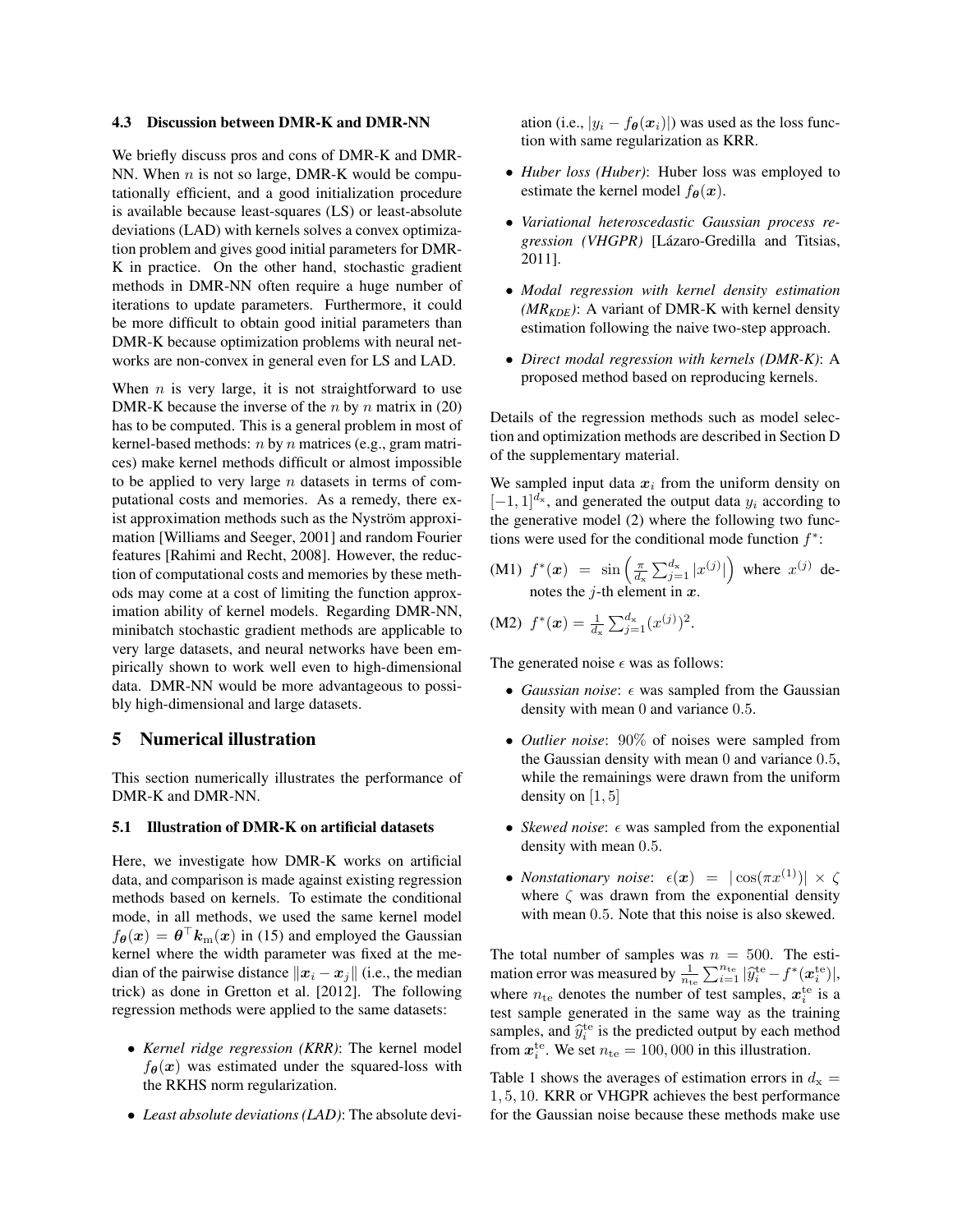#### 4.3 Discussion between DMR-K and DMR-NN

We briefly discuss pros and cons of DMR-K and DMR-NN. When  $n$  is not so large, DMR-K would be computationally efficient, and a good initialization procedure is available because least-squares (LS) or least-absolute deviations (LAD) with kernels solves a convex optimization problem and gives good initial parameters for DMR-K in practice. On the other hand, stochastic gradient methods in DMR-NN often require a huge number of iterations to update parameters. Furthermore, it could be more difficult to obtain good initial parameters than DMR-K because optimization problems with neural networks are non-convex in general even for LS and LAD.

When  $n$  is very large, it is not straightforward to use DMR-K because the inverse of the  $n$  by  $n$  matrix in (20) has to be computed. This is a general problem in most of kernel-based methods:  $n$  by  $n$  matrices (e.g., gram matrices) make kernel methods difficult or almost impossible to be applied to very large  $n$  datasets in terms of computational costs and memories. As a remedy, there exist approximation methods such as the Nyström approximation [Williams and Seeger, 2001] and random Fourier features [Rahimi and Recht, 2008]. However, the reduction of computational costs and memories by these methods may come at a cost of limiting the function approximation ability of kernel models. Regarding DMR-NN, minibatch stochastic gradient methods are applicable to very large datasets, and neural networks have been empirically shown to work well even to high-dimensional data. DMR-NN would be more advantageous to possibly high-dimensional and large datasets.

## 5 Numerical illustration

This section numerically illustrates the performance of DMR-K and DMR-NN.

#### 5.1 Illustration of DMR-K on artificial datasets

Here, we investigate how DMR-K works on artificial data, and comparison is made against existing regression methods based on kernels. To estimate the conditional mode, in all methods, we used the same kernel model  $f_{\theta}(x) = \theta^{\top} k_{m}(x)$  in (15) and employed the Gaussian kernel where the width parameter was fixed at the median of the pairwise distance  $\|\boldsymbol{x}_i - \boldsymbol{x}_j\|$  (i.e., the median trick) as done in Gretton et al. [2012]. The following regression methods were applied to the same datasets:

- *Kernel ridge regression (KRR)*: The kernel model  $f_{\theta}(x)$  was estimated under the squared-loss with the RKHS norm regularization.
- *Least absolute deviations (LAD)*: The absolute devi-

ation (i.e.,  $|y_i - f_{\theta}(x_i)|$ ) was used as the loss function with same regularization as KRR.

- *Huber loss (Huber)*: Huber loss was employed to estimate the kernel model  $f_{\theta}(x)$ .
- *Variational heteroscedastic Gaussian process regression (VHGPR)* [Lázaro-Gredilla and Titsias, 2011].
- *Modal regression with kernel density estimation*  $(MR_{KDE})$ : A variant of DMR-K with kernel density estimation following the naive two-step approach.
- *Direct modal regression with kernels (DMR-K)*: A proposed method based on reproducing kernels.

Details of the regression methods such as model selection and optimization methods are described in Section D of the supplementary material.

We sampled input data  $x_i$  from the uniform density on  $[-1, 1]^{d_x}$ , and generated the output data  $y_i$  according to the generative model (2) where the following two functions were used for the conditional mode function  $f^*$ :

(M1)  $f^*(x) = \sin\left(\frac{\pi}{d_x} \sum_{j=1}^{d_x} |x^{(j)}|\right)$  where  $x^{(j)}$  denotes the *j*-th element in  $x$ .

(M2) 
$$
f^*(x) = \frac{1}{d_x} \sum_{j=1}^{d_x} (x^{(j)})^2
$$
.

The generated noise  $\epsilon$  was as follows:

- *Gaussian noise*:  $\epsilon$  was sampled from the Gaussian density with mean 0 and variance 0.5.
- *Outlier noise*: 90% of noises were sampled from the Gaussian density with mean 0 and variance 0.5, while the remainings were drawn from the uniform density on  $[1, 5]$
- *Skewed noise*:  $\epsilon$  was sampled from the exponential density with mean 0.5.
- *Nonstationary noise*:  $\epsilon(x) = |\cos(\pi x^{(1)})| \times \zeta$ where  $\zeta$  was drawn from the exponential density with mean 0.5. Note that this noise is also skewed.

The total number of samples was  $n = 500$ . The estimation error was measured by  $\frac{1}{n_{\text{te}}} \sum_{i=1}^{n_{\text{te}}} |\hat{y}_i^{\text{te}} - f^*(\boldsymbol{x}_i^{\text{te}})|$ , where  $n_{\text{te}}$  denotes the number of test samples,  $x_i^{\text{te}}$  is a test sample generated in the same way as the training samples, and  $\hat{y}_i^{\text{te}}$  is the predicted output by each method<br>from  $x^{\text{te}}$ . We set  $n_t = 100,000$  in this illustration from  $x_i^{\text{te}}$ . We set  $n_{\text{te}} = 100,000$  in this illustration.

Table 1 shows the averages of estimation errors in  $d_x =$ 1, 5, 10. KRR or VHGPR achieves the best performance for the Gaussian noise because these methods make use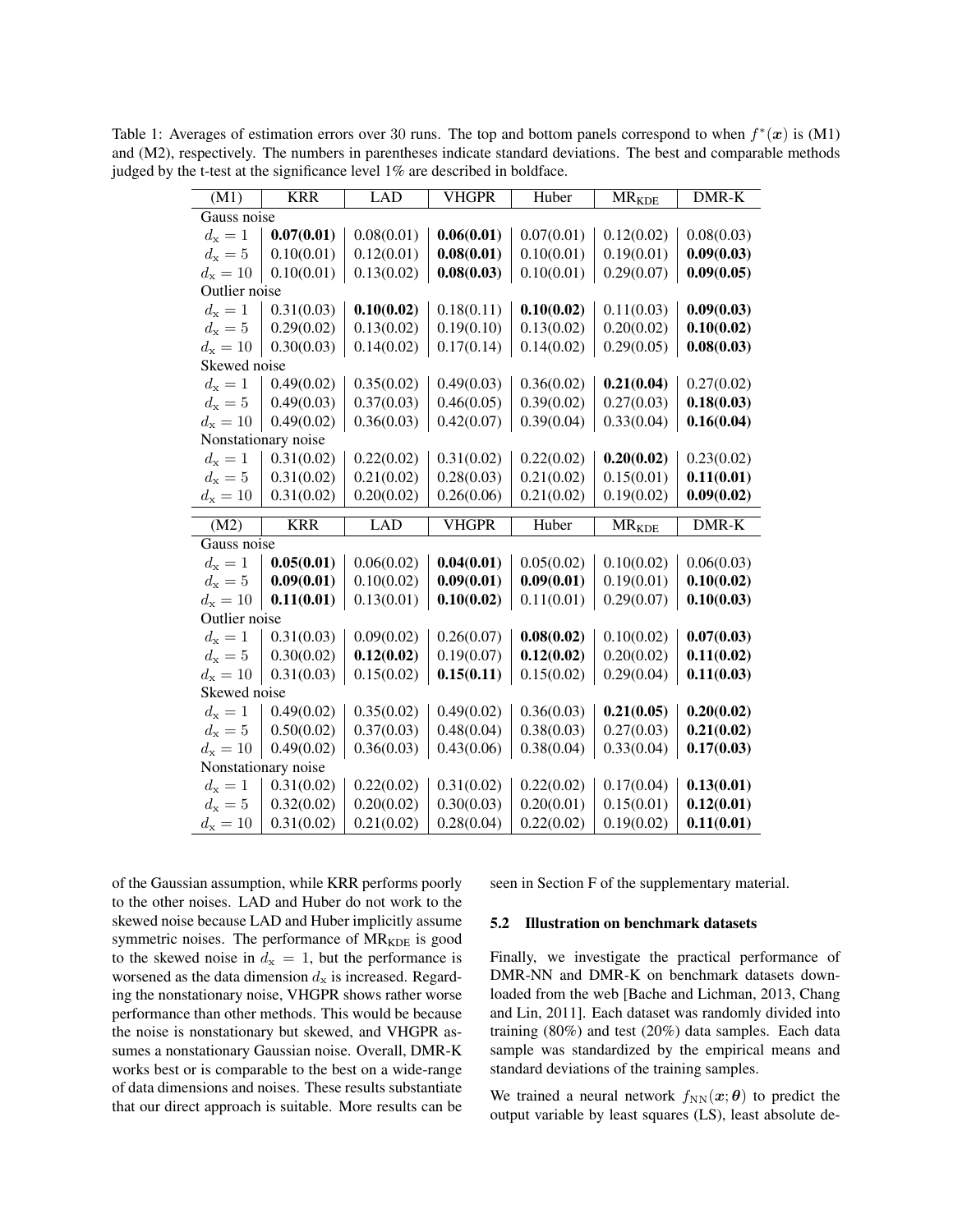Table 1: Averages of estimation errors over 30 runs. The top and bottom panels correspond to when  $f^*(x)$  is (M1) and (M2), respectively. The numbers in parentheses indicate standard deviations. The best and comparable methods judged by the t-test at the significance level 1% are described in boldface.

| (M1)                | <b>KRR</b>          | <b>LAD</b> | <b>VHGPR</b> | Huber                    | <b>MR<sub>KDE</sub></b> | DMR-K      |  |  |
|---------------------|---------------------|------------|--------------|--------------------------|-------------------------|------------|--|--|
|                     | Gauss noise         |            |              |                          |                         |            |  |  |
| $d_{\rm x}=1$       | 0.07(0.01)          | 0.08(0.01) | 0.06(0.01)   | 0.07(0.01)               | 0.12(0.02)              | 0.08(0.03) |  |  |
| $d_{\rm x}=5$       | 0.10(0.01)          | 0.12(0.01) | 0.08(0.01)   | 0.10(0.01)               | 0.19(0.01)              | 0.09(0.03) |  |  |
| $d_{x} = 10$        | 0.10(0.01)          | 0.13(0.02) | 0.08(0.03)   | 0.10(0.01)               | 0.29(0.07)              | 0.09(0.05) |  |  |
|                     | Outlier noise       |            |              |                          |                         |            |  |  |
| $d_{\rm x}=1$       | 0.31(0.03)          | 0.10(0.02) | 0.18(0.11)   | 0.10(0.02)               | 0.11(0.03)              | 0.09(0.03) |  |  |
| $d_{\rm x}=5$       | 0.29(0.02)          | 0.13(0.02) | 0.19(0.10)   | 0.13(0.02)               | 0.20(0.02)              | 0.10(0.02) |  |  |
| $d_{x} = 10$        | 0.30(0.03)          | 0.14(0.02) | 0.17(0.14)   | 0.14(0.02)               | 0.29(0.05)              | 0.08(0.03) |  |  |
| Skewed noise        |                     |            |              |                          |                         |            |  |  |
| $d_{\rm x}=1$       | 0.49(0.02)          | 0.35(0.02) | 0.49(0.03)   | 0.36(0.02)               | 0.21(0.04)              | 0.27(0.02) |  |  |
| $d_{\rm x}=5$       | 0.49(0.03)          | 0.37(0.03) | 0.46(0.05)   | 0.39(0.02)               | 0.27(0.03)              | 0.18(0.03) |  |  |
| $d_{x} = 10$        | 0.49(0.02)          | 0.36(0.03) | 0.42(0.07)   | 0.39(0.04)               | 0.33(0.04)              | 0.16(0.04) |  |  |
| Nonstationary noise |                     |            |              |                          |                         |            |  |  |
| $d_{\rm x}=1$       | 0.31(0.02)          | 0.22(0.02) | 0.31(0.02)   | 0.22(0.02)               | 0.20(0.02)              | 0.23(0.02) |  |  |
| $d_{\rm x}=5$       | 0.31(0.02)          | 0.21(0.02) | 0.28(0.03)   | 0.21(0.02)               | 0.15(0.01)              | 0.11(0.01) |  |  |
| $d_{x} = 10$        | 0.31(0.02)          | 0.20(0.02) | 0.26(0.06)   | 0.21(0.02)               | 0.19(0.02)              | 0.09(0.02) |  |  |
|                     |                     |            |              |                          |                         |            |  |  |
| (M2)                | <b>KRR</b>          | <b>LAD</b> | <b>VHGPR</b> | Huber                    | <b>MR<sub>KDE</sub></b> | DMR-K      |  |  |
| Gauss noise         |                     |            |              |                          |                         |            |  |  |
| $d_{\rm x}=1$       | 0.05(0.01)          | 0.06(0.02) | 0.04(0.01)   | 0.05(0.02)               | 0.10(0.02)              | 0.06(0.03) |  |  |
| $d_{\rm x}=5$       | 0.09(0.01)          | 0.10(0.02) | 0.09(0.01)   | 0.09(0.01)               | 0.19(0.01)              | 0.10(0.02) |  |  |
| $d_{x} = 10$        | 0.11(0.01)          | 0.13(0.01) | 0.10(0.02)   | 0.11(0.01)               | 0.29(0.07)              | 0.10(0.03) |  |  |
| Outlier noise       |                     |            |              |                          |                         |            |  |  |
| $d_{\rm x}=1$       | 0.31(0.03)          | 0.09(0.02) | 0.26(0.07)   | 0.08(0.02)               | 0.10(0.02)              | 0.07(0.03) |  |  |
| $d_{\rm x}=5$       | 0.30(0.02)          | 0.12(0.02) | 0.19(0.07)   | 0.12(0.02)               | 0.20(0.02)              | 0.11(0.02) |  |  |
| $d_{\rm x} = 10$    | 0.31(0.03)          | 0.15(0.02) | 0.15(0.11)   | 0.15(0.02)               | 0.29(0.04)              | 0.11(0.03) |  |  |
| Skewed noise        |                     |            |              |                          |                         |            |  |  |
| $d_{\rm x}=1$       | 0.49(0.02)          | 0.35(0.02) | 0.49(0.02)   | 0.36(0.03)               | 0.21(0.05)              | 0.20(0.02) |  |  |
| $d_{\rm x}=5$       | 0.50(0.02)          | 0.37(0.03) | 0.48(0.04)   | 0.38(0.03)               | 0.27(0.03)              | 0.21(0.02) |  |  |
| $d_{x} = 10$        | 0.49(0.02)          | 0.36(0.03) | 0.43(0.06)   | 0.38(0.04)               | 0.33(0.04)              | 0.17(0.03) |  |  |
|                     | Nonstationary noise |            |              |                          |                         |            |  |  |
| $d_{\rm x}=1$       | 0.31(0.02)          | 0.22(0.02) | 0.31(0.02)   | 0.22(0.02)               | 0.17(0.04)              | 0.13(0.01) |  |  |
| $d_{\rm x}=5$       | 0.32(0.02)          | 0.20(0.02) | 0.30(0.03)   | 0.20(0.01)<br>0.22(0.02) | 0.15(0.01)              | 0.12(0.01) |  |  |

of the Gaussian assumption, while KRR performs poorly to the other noises. LAD and Huber do not work to the skewed noise because LAD and Huber implicitly assume symmetric noises. The performance of  $MR_{KDE}$  is good to the skewed noise in  $d_x = 1$ , but the performance is worsened as the data dimension  $d_x$  is increased. Regarding the nonstationary noise, VHGPR shows rather worse performance than other methods. This would be because the noise is nonstationary but skewed, and VHGPR assumes a nonstationary Gaussian noise. Overall, DMR-K works best or is comparable to the best on a wide-range of data dimensions and noises. These results substantiate that our direct approach is suitable. More results can be seen in Section F of the supplementary material.

#### 5.2 Illustration on benchmark datasets

Finally, we investigate the practical performance of DMR-NN and DMR-K on benchmark datasets downloaded from the web [Bache and Lichman, 2013, Chang and Lin, 2011]. Each dataset was randomly divided into training (80%) and test (20%) data samples. Each data sample was standardized by the empirical means and standard deviations of the training samples.

We trained a neural network  $f_{NN}(x; \theta)$  to predict the output variable by least squares (LS), least absolute de-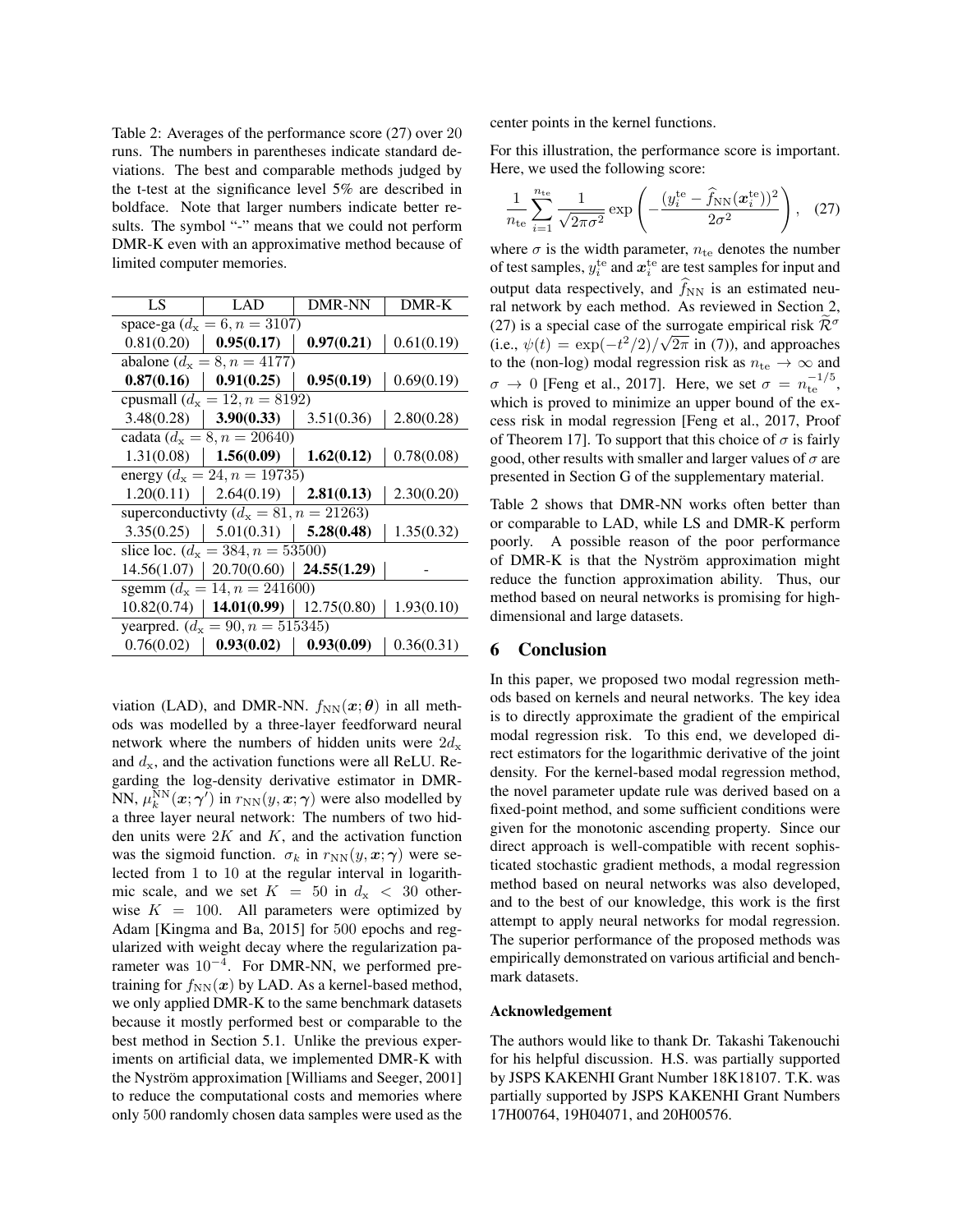Table 2: Averages of the performance score (27) over 20 runs. The numbers in parentheses indicate standard deviations. The best and comparable methods judged by the t-test at the significance level 5% are described in boldface. Note that larger numbers indicate better results. The symbol "-" means that we could not perform DMR-K even with an approximative method because of limited computer memories.

| LS                                             | LAD         | <b>DMR-NN</b> | DMR-K      |  |  |  |  |
|------------------------------------------------|-------------|---------------|------------|--|--|--|--|
| space-ga ( $d_x = 6, n = 3107$ )               |             |               |            |  |  |  |  |
| 0.81(0.20)                                     | 0.95(0.17)  | 0.97(0.21)    | 0.61(0.19) |  |  |  |  |
| abalone ( $d_x = 8, n = 4177$ )                |             |               |            |  |  |  |  |
| 0.87(0.16)                                     | 0.91(0.25)  | 0.95(0.19)    | 0.69(0.19) |  |  |  |  |
| cpusmall $(d_x = 12, n = 8192)$                |             |               |            |  |  |  |  |
| 3.48(0.28)                                     | 3.90(0.33)  | 3.51(0.36)    | 2.80(0.28) |  |  |  |  |
| cadata ( $d_x = 8$ , $n = 20640$ )             |             |               |            |  |  |  |  |
| 1.31(0.08)                                     | 1.56(0.09)  | 1.62(0.12)    | 0.78(0.08) |  |  |  |  |
| energy ( $d_x = 24$ , $n = 19735$ )            |             |               |            |  |  |  |  |
| 1.20(0.11)                                     | 2.64(0.19)  | 2.81(0.13)    | 2.30(0.20) |  |  |  |  |
| superconductivity ( $d_x = 81$ , $n = 21263$ ) |             |               |            |  |  |  |  |
| 3.35(0.25)                                     | 5.01(0.31)  | 5.28(0.48)    | 1.35(0.32) |  |  |  |  |
| slice loc. $(d_x = 384, n = 53500)$            |             |               |            |  |  |  |  |
| 14.56(1.07)                                    | 20.70(0.60) | 24.55(1.29)   |            |  |  |  |  |
| sgemm ( $d_x = 14$ , $n = 241600$ )            |             |               |            |  |  |  |  |
| 10.82(0.74)                                    | 14.01(0.99) | 12.75(0.80)   | 1.93(0.10) |  |  |  |  |
| yearpred. $(d_x = 90, n = 515345)$             |             |               |            |  |  |  |  |
| 0.76(0.02)                                     | 0.93(0.02)  | 0.93(0.09)    | 0.36(0.31) |  |  |  |  |

viation (LAD), and DMR-NN.  $f_{NN}(x; \theta)$  in all methods was modelled by a three-layer feedforward neural network where the numbers of hidden units were  $2d_{x}$ and  $d_{\rm x}$ , and the activation functions were all ReLU. Regarding the log-density derivative estimator in DMR-NN,  $\mu_k^{\text{NN}}(\boldsymbol{x};\boldsymbol{\gamma}')$  in  $r_{\text{NN}}(y,\boldsymbol{x};\boldsymbol{\gamma})$  were also modelled by a three layer neural network: The numbers of two hidden units were  $2K$  and K, and the activation function was the sigmoid function.  $\sigma_k$  in  $r_{NN}(y, x; \gamma)$  were selected from 1 to 10 at the regular interval in logarithmic scale, and we set  $K = 50$  in  $d_x < 30$  otherwise  $K = 100$ . All parameters were optimized by Adam [Kingma and Ba, 2015] for 500 epochs and regularized with weight decay where the regularization parameter was  $10^{-4}$ . For DMR-NN, we performed pretraining for  $f_{NN}(x)$  by LAD. As a kernel-based method, we only applied DMR-K to the same benchmark datasets because it mostly performed best or comparable to the best method in Section 5.1. Unlike the previous experiments on artificial data, we implemented DMR-K with the Nyström approximation [Williams and Seeger, 2001] to reduce the computational costs and memories where only 500 randomly chosen data samples were used as the center points in the kernel functions.

For this illustration, the performance score is important. Here, we used the following score:

$$
\frac{1}{n_{\text{te}}} \sum_{i=1}^{n_{\text{te}}} \frac{1}{\sqrt{2\pi\sigma^2}} \exp\left(-\frac{(y_i^{\text{te}} - \hat{f}_{\text{NN}}(\boldsymbol{x}_i^{\text{te}}))^2}{2\sigma^2}\right), \quad (27)
$$

where  $\sigma$  is the width parameter,  $n_{\text{te}}$  denotes the number of test samples,  $y_i^{\rm te}$  and  $\boldsymbol{x}_i^{\rm te}$  are test samples for input and output data respectively, and  $\widehat{f}_{NN}$  is an estimated neural network by each method. As reviewed in Section 2, (27) is a special case of the surrogate empirical risk  $\tilde{\mathcal{R}}^{\sigma}$ (i.e.,  $\psi(t) = \exp(-t^2/2)/\sqrt{2\pi}$  in (7)), and approaches to the (non-log) modal regression risk as  $n_{\text{te}} \rightarrow \infty$  and  $\sigma \to 0$  [Feng et al., 2017]. Here, we set  $\sigma = n_{\text{te}}^{-1/5}$ , which is proved to minimize an upper bound of the excess risk in modal regression [Feng et al., 2017, Proof of Theorem 17]. To support that this choice of  $\sigma$  is fairly good, other results with smaller and larger values of  $\sigma$  are presented in Section G of the supplementary material.

Table 2 shows that DMR-NN works often better than or comparable to LAD, while LS and DMR-K perform poorly. A possible reason of the poor performance of DMR-K is that the Nyström approximation might reduce the function approximation ability. Thus, our method based on neural networks is promising for highdimensional and large datasets.

# 6 Conclusion

In this paper, we proposed two modal regression methods based on kernels and neural networks. The key idea is to directly approximate the gradient of the empirical modal regression risk. To this end, we developed direct estimators for the logarithmic derivative of the joint density. For the kernel-based modal regression method, the novel parameter update rule was derived based on a fixed-point method, and some sufficient conditions were given for the monotonic ascending property. Since our direct approach is well-compatible with recent sophisticated stochastic gradient methods, a modal regression method based on neural networks was also developed, and to the best of our knowledge, this work is the first attempt to apply neural networks for modal regression. The superior performance of the proposed methods was empirically demonstrated on various artificial and benchmark datasets.

#### Acknowledgement

The authors would like to thank Dr. Takashi Takenouchi for his helpful discussion. H.S. was partially supported by JSPS KAKENHI Grant Number 18K18107. T.K. was partially supported by JSPS KAKENHI Grant Numbers 17H00764, 19H04071, and 20H00576.